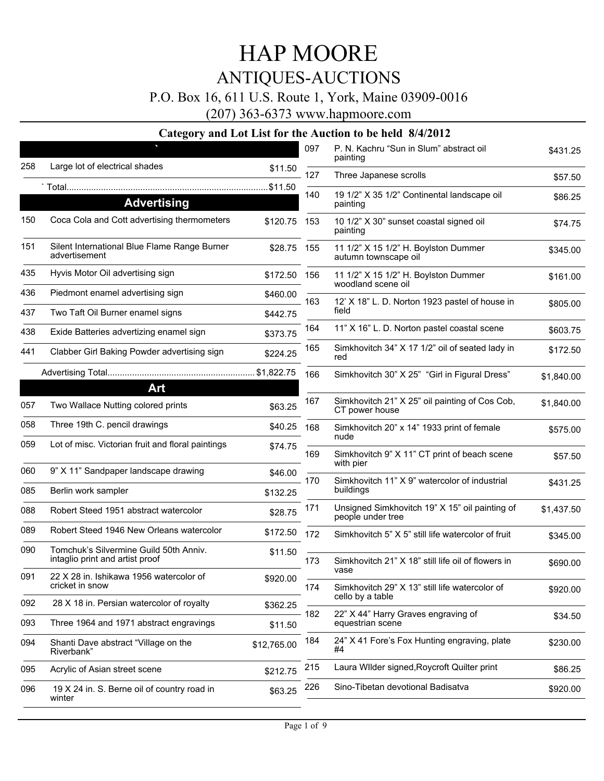### P.O. Box 16, 611 U.S. Route 1, York, Maine 03909-0016

(207) 363-6373 www.hapmoore.com

|     | 0<br>P                                                                    |              | 097 | P. N. Kachru "Sun in Slum" abstract oil                             |            |
|-----|---------------------------------------------------------------------------|--------------|-----|---------------------------------------------------------------------|------------|
| 258 | Large lot of electrical shades                                            | \$11.50      |     | painting                                                            | \$431.25   |
|     |                                                                           |              | 127 | Three Japanese scrolls                                              | \$57.50    |
|     | <b>Advertising</b>                                                        |              | 140 | 19 1/2" X 35 1/2" Continental landscape oil<br>painting             | \$86.25    |
| 150 | Coca Cola and Cott advertising thermometers                               | \$120.75     | 153 | 10 1/2" X 30" sunset coastal signed oil<br>painting                 | \$74.75    |
| 151 | Silent International Blue Flame Range Burner<br>advertisement             | \$28.75 155  |     | 11 1/2" X 15 1/2" H. Boylston Dummer<br>autumn townscape oil        | \$345.00   |
| 435 | Hyvis Motor Oil advertising sign                                          | \$172.50 156 |     | 11 1/2" X 15 1/2" H. Boylston Dummer<br>woodland scene oil          | \$161.00   |
| 436 | Piedmont enamel advertising sign                                          | \$460.00     | 163 | 12' X 18" L. D. Norton 1923 pastel of house in                      | \$805.00   |
| 437 | Two Taft Oil Burner enamel signs                                          | \$442.75     |     | field                                                               |            |
| 438 | Exide Batteries advertizing enamel sign                                   | \$373.75     | 164 | 11" X 16" L. D. Norton pastel coastal scene                         | \$603.75   |
| 441 | Clabber Girl Baking Powder advertising sign                               | \$224.25     | 165 | Simkhovitch 34" X 17 1/2" oil of seated lady in<br>red              | \$172.50   |
|     |                                                                           |              | 166 | Simkhovitch 30" X 25" "Girl in Figural Dress"                       | \$1,840.00 |
|     | Art                                                                       |              |     |                                                                     |            |
| 057 | Two Wallace Nutting colored prints                                        | \$63.25      | 167 | Simkhovitch 21" X 25" oil painting of Cos Cob,<br>CT power house    | \$1,840.00 |
| 058 | Three 19th C. pencil drawings                                             | \$40.25      | 168 | Simkhovitch 20" x 14" 1933 print of female<br>nude                  | \$575.00   |
| 059 | Lot of misc. Victorian fruit and floral paintings                         | \$74.75      | 169 | Simkhovitch 9" X 11" CT print of beach scene<br>with pier           | \$57.50    |
| 060 | 9" X 11" Sandpaper landscape drawing                                      | \$46.00      | 170 | Simkhovitch 11" X 9" watercolor of industrial                       |            |
| 085 | Berlin work sampler                                                       | \$132.25     |     | buildings                                                           | \$431.25   |
| 088 | Robert Steed 1951 abstract watercolor                                     | \$28.75      | 171 | Unsigned Simkhovitch 19" X 15" oil painting of<br>people under tree | \$1,437.50 |
| 089 | Robert Steed 1946 New Orleans watercolor                                  | \$172.50     | 172 | Simkhovitch 5" X 5" still life watercolor of fruit                  | \$345.00   |
| 090 | Tomchuk's Silvermine Guild 50th Anniy.<br>intaglio print and artist proof | \$11.50      | 173 | Simkhovitch 21" X 18" still life oil of flowers in                  | \$690.00   |
| 091 | 22 X 28 in. Ishikawa 1956 watercolor of<br>cricket in snow                | \$920.00     | 174 | vase<br>Simkhovitch 29" X 13" still life watercolor of              | \$920.00   |
| 092 | 28 X 18 in. Persian watercolor of royalty                                 | \$362.25     |     | cello by a table                                                    |            |
| 093 | Three 1964 and 1971 abstract engravings                                   | \$11.50      | 182 | 22" X 44" Harry Graves engraving of<br>equestrian scene             | \$34.50    |
| 094 | Shanti Dave abstract "Village on the<br>Riverbank"                        | \$12,765.00  | 184 | 24" X 41 Fore's Fox Hunting engraving, plate<br>#4                  | \$230.00   |
| 095 | Acrylic of Asian street scene                                             | \$212.75     | 215 | Laura Wilder signed, Roycroft Quilter print                         | \$86.25    |
| 096 | 19 X 24 in. S. Berne oil of country road in<br>winter                     | \$63.25      | 226 | Sino-Tibetan devotional Badisatva                                   | \$920.00   |
|     |                                                                           |              |     |                                                                     |            |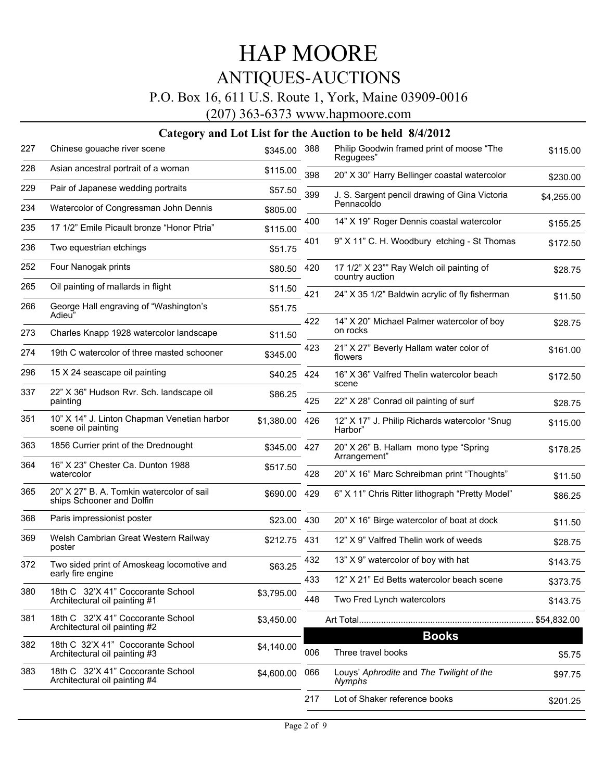### P.O. Box 16, 611 U.S. Route 1, York, Maine 03909-0016

(207) 363-6373 www.hapmoore.com

| 227 | Chinese gouache river scene                                            | \$345.00     | 388 | Philip Goodwin framed print of moose "The<br>Regugees"      | \$115.00   |
|-----|------------------------------------------------------------------------|--------------|-----|-------------------------------------------------------------|------------|
| 228 | Asian ancestral portrait of a woman                                    | \$115.00     | 398 | 20" X 30" Harry Bellinger coastal watercolor                | \$230.00   |
| 229 | Pair of Japanese wedding portraits                                     | \$57.50      | 399 | J. S. Sargent pencil drawing of Gina Victoria               | \$4,255.00 |
| 234 | Watercolor of Congressman John Dennis                                  | \$805.00     |     | Pennacoldo                                                  |            |
| 235 | 17 1/2" Emile Picault bronze "Honor Ptria"                             | \$115.00     | 400 | 14" X 19" Roger Dennis coastal watercolor                   | \$155.25   |
| 236 | Two equestrian etchings                                                | \$51.75      | 401 | 9" X 11" C. H. Woodbury etching - St Thomas                 | \$172.50   |
| 252 | Four Nanogak prints                                                    | \$80.50      | 420 | 17 1/2" X 23"" Ray Welch oil painting of<br>country auction | \$28.75    |
| 265 | Oil painting of mallards in flight                                     | \$11.50      | 421 | 24" X 35 1/2" Baldwin acrylic of fly fisherman              | \$11.50    |
| 266 | George Hall engraving of "Washington's<br>Adieu <sup>"</sup>           | \$51.75      | 422 | 14" X 20" Michael Palmer watercolor of boy                  |            |
| 273 | Charles Knapp 1928 watercolor landscape                                | \$11.50      |     | on rocks                                                    | \$28.75    |
| 274 | 19th C watercolor of three masted schooner                             | \$345.00     | 423 | 21" X 27" Beverly Hallam water color of<br>flowers          | \$161.00   |
| 296 | 15 X 24 seascape oil painting                                          | \$40.25      | 424 | 16" X 36" Valfred Thelin watercolor beach<br>scene          | \$172.50   |
| 337 | 22" X 36" Hudson Rvr. Sch. landscape oil<br>painting                   | \$86.25      | 425 | 22" X 28" Conrad oil painting of surf                       | \$28.75    |
| 351 | 10" X 14" J. Linton Chapman Venetian harbor<br>scene oil painting      | \$1,380.00   | 426 | 12" X 17" J. Philip Richards watercolor "Snug<br>Harbor"    | \$115.00   |
| 363 | 1856 Currier print of the Drednought                                   | \$345.00 427 |     | 20" X 26" B. Hallam mono type "Spring"<br>Arrangement"      | \$178.25   |
| 364 | 16" X 23" Chester Ca. Dunton 1988<br>watercolor                        | \$517.50     | 428 | 20" X 16" Marc Schreibman print "Thoughts"                  | \$11.50    |
| 365 | 20" X 27" B. A. Tomkin watercolor of sail<br>ships Schooner and Dolfin | \$690.00     | 429 | 6" X 11" Chris Ritter lithograph "Pretty Model"             | \$86.25    |
| 368 | Paris impressionist poster                                             | \$23.00      | 430 | 20" X 16" Birge watercolor of boat at dock                  | \$11.50    |
| 369 | Welsh Cambrian Great Western Railway<br>poster                         | \$212.75     | 431 | 12" X 9" Valfred Thelin work of weeds                       | \$28.75    |
| 372 | Two sided print of Amoskeag locomotive and                             | \$63.25      | 432 | 13" X 9" watercolor of boy with hat                         | \$143.75   |
|     | early fire engine                                                      |              | 433 | 12" X 21" Ed Betts watercolor beach scene                   | \$373.75   |
| 380 | 18th C 32'X 41" Coccorante School<br>Architectural oil painting #1     | \$3,795.00   | 448 | Two Fred Lynch watercolors                                  | \$143.75   |
| 381 | 18th C 32'X 41" Coccorante School<br>Architectural oil painting #2     | \$3,450.00   |     | <b>Books</b>                                                |            |
| 382 | 18th C 32'X 41" Coccorante School<br>Architectural oil painting #3     | \$4,140.00   | 006 | Three travel books                                          | \$5.75     |
| 383 | 18th C 32'X 41" Coccorante School<br>Architectural oil painting #4     | \$4,600.00   | 066 | Louys' Aphrodite and The Twilight of the<br>Nymphs          | \$97.75    |
|     |                                                                        |              | 217 | Lot of Shaker reference books                               | \$201.25   |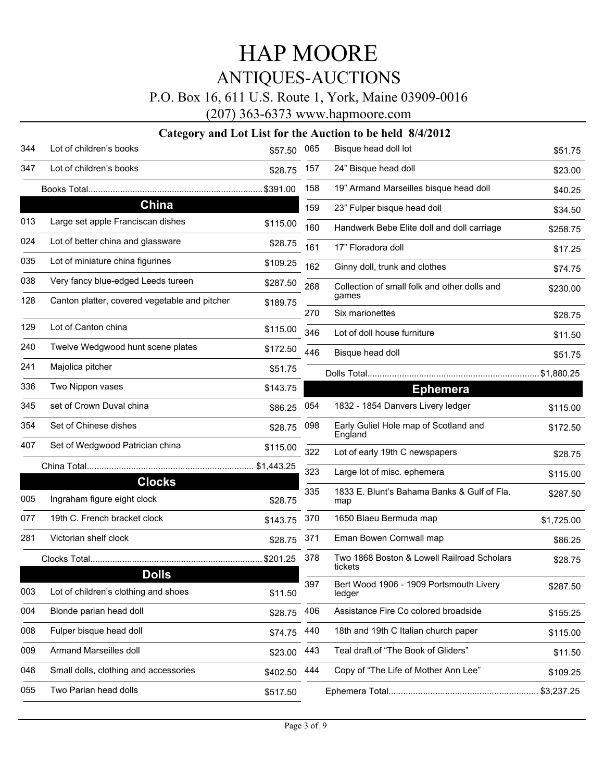### P.O. Box 16, 611 U.S. Route 1, York, Maine 03909-0016

(207) 363-6373 www.hapmoore.com

| 344 | Lot of children's books                              | \$57.50  | 065 | Bisque head doll lot                                  | \$51.75    |
|-----|------------------------------------------------------|----------|-----|-------------------------------------------------------|------------|
| 347 | Lot of children's books                              | \$28.75  | 157 | 24" Bisque head doll                                  | \$23.00    |
|     |                                                      |          | 158 | 19" Armand Marseilles bisque head doll                | \$40.25    |
|     | China                                                |          | 159 | 23" Fulper bisque head doll                           | \$34.50    |
| 013 | Large set apple Franciscan dishes                    | \$115.00 | 160 | Handwerk Bebe Elite doll and doll carriage            | \$258.75   |
| 024 | Lot of better china and glassware                    | \$28.75  | 161 | 17" Floradora doll                                    | \$17.25    |
| 035 | Lot of miniature china figurines                     | \$109.25 | 162 | Ginny doll, trunk and clothes                         | \$74.75    |
| 038 | Very fancy blue-edged Leeds tureen                   | \$287.50 | 268 | Collection of small folk and other dolls and          | \$230.00   |
| 128 | Canton platter, covered vegetable and pitcher        | \$189.75 |     | games                                                 |            |
| 129 | Lot of Canton china                                  | \$115.00 | 270 | Six marionettes                                       | \$28.75    |
| 240 | Twelve Wedgwood hunt scene plates                    | \$172.50 | 346 | Lot of doll house furniture                           | \$11.50    |
| 241 | Majolica pitcher                                     |          | 446 | Bisque head doll                                      | \$51.75    |
|     |                                                      | \$51.75  |     |                                                       |            |
| 336 | Two Nippon vases                                     | \$143.75 |     | <b>Ephemera</b>                                       |            |
| 345 | set of Crown Duval china                             | \$86.25  | 054 | 1832 - 1854 Danvers Livery ledger                     | \$115.00   |
| 354 | Set of Chinese dishes                                | \$28.75  | 098 | Early Guliel Hole map of Scotland and<br>England      | \$172.50   |
| 407 | Set of Wedgwood Patrician china                      | \$115.00 | 322 | Lot of early 19th C newspapers                        | \$28.75    |
|     |                                                      |          | 323 | Large lot of misc. ephemera                           | \$115.00   |
| 005 | <b>Clocks</b><br>Ingraham figure eight clock         | \$28.75  | 335 | 1833 E. Blunt's Bahama Banks & Gulf of Fla.<br>map    | \$287.50   |
| 077 | 19th C. French bracket clock                         | \$143.75 | 370 | 1650 Blaeu Bermuda map                                | \$1,725.00 |
| 281 | Victorian shelf clock                                | \$28.75  | 371 | Eman Bowen Cornwall map                               | \$86.25    |
|     |                                                      | \$201.25 | 378 | Two 1868 Boston & Lowell Railroad Scholars<br>tickets | \$28.75    |
| 003 | <b>Dolls</b><br>Lot of children's clothing and shoes | \$11.50  | 397 | Bert Wood 1906 - 1909 Portsmouth Livery<br>ledger     | \$287.50   |
| 004 | Blonde parian head doll                              | \$28.75  | 406 | Assistance Fire Co colored broadside                  | \$155.25   |
| 008 | Fulper bisque head doll                              | \$74.75  | 440 | 18th and 19th C Italian church paper                  | \$115.00   |
| 009 | Armand Marseilles doll                               | \$23.00  | 443 | Teal draft of "The Book of Gliders"                   | \$11.50    |
| 048 | Small dolls, clothing and accessories                | \$402.50 | 444 | Copy of "The Life of Mother Ann Lee"                  | \$109.25   |
| 055 | Two Parian head dolls                                | \$517.50 |     |                                                       |            |
|     |                                                      |          |     |                                                       |            |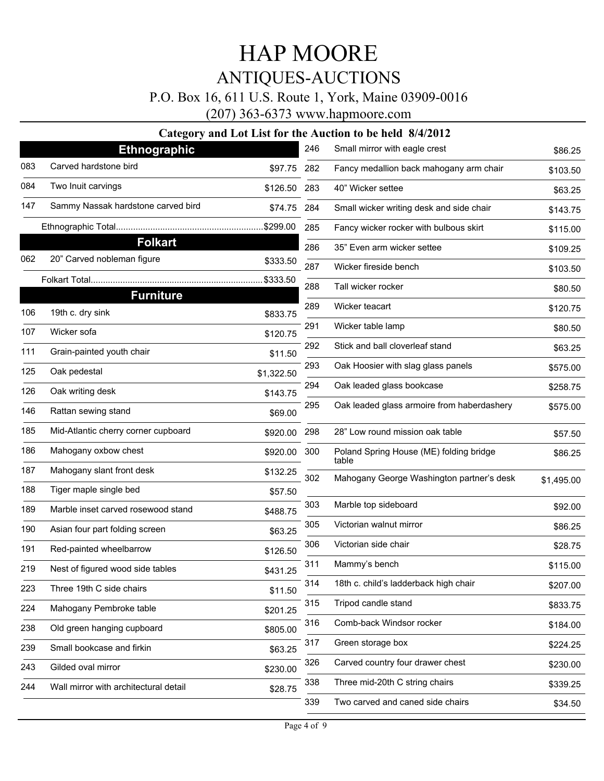### P.O. Box 16, 611 U.S. Route 1, York, Maine 03909-0016

(207) 363-6373 www.hapmoore.com

|     | <b>Ethnographic</b>                   |            | 246 | Small mirror with eagle crest                    | \$86.25    |
|-----|---------------------------------------|------------|-----|--------------------------------------------------|------------|
| 083 | Carved hardstone bird                 | \$97.75    | 282 | Fancy medallion back mahogany arm chair          | \$103.50   |
| 084 | Two Inuit carvings                    | \$126.50   | 283 | 40" Wicker settee                                | \$63.25    |
| 147 | Sammy Nassak hardstone carved bird    | \$74.75    | 284 | Small wicker writing desk and side chair         | \$143.75   |
|     |                                       | .\$299.00  | 285 | Fancy wicker rocker with bulbous skirt           | \$115.00   |
|     | <b>Folkart</b>                        |            | 286 | 35" Even arm wicker settee                       | \$109.25   |
| 062 | 20" Carved nobleman figure            | \$333.50   | 287 | Wicker fireside bench                            | \$103.50   |
|     |                                       | \$333.50   | 288 | Tall wicker rocker                               | \$80.50    |
|     | <b>Furniture</b>                      |            | 289 | Wicker teacart                                   |            |
| 106 | 19th c. dry sink                      | \$833.75   |     |                                                  | \$120.75   |
| 107 | Wicker sofa                           | \$120.75   | 291 | Wicker table lamp                                | \$80.50    |
| 111 | Grain-painted youth chair             | \$11.50    | 292 | Stick and ball cloverleaf stand                  | \$63.25    |
| 125 | Oak pedestal                          | \$1,322.50 | 293 | Oak Hoosier with slag glass panels               | \$575.00   |
| 126 | Oak writing desk                      | \$143.75   | 294 | Oak leaded glass bookcase                        | \$258.75   |
| 146 | Rattan sewing stand                   | \$69.00    | 295 | Oak leaded glass armoire from haberdashery       | \$575.00   |
| 185 | Mid-Atlantic cherry corner cupboard   | \$920.00   | 298 | 28" Low round mission oak table                  | \$57.50    |
| 186 | Mahogany oxbow chest                  | \$920.00   | 300 | Poland Spring House (ME) folding bridge<br>table | \$86.25    |
| 187 | Mahogany slant front desk             | \$132.25   | 302 | Mahogany George Washington partner's desk        | \$1,495.00 |
| 188 | Tiger maple single bed                | \$57.50    |     |                                                  |            |
| 189 | Marble inset carved rosewood stand    | \$488.75   | 303 | Marble top sideboard                             | \$92.00    |
| 190 | Asian four part folding screen        | \$63.25    | 305 | Victorian walnut mirror                          | \$86.25    |
| 191 | Red-painted wheelbarrow               | \$126.50   | 306 | Victorian side chair                             | \$28.75    |
| 219 | Nest of figured wood side tables      | \$431.25   | 311 | Mammy's bench                                    | \$115.00   |
| 223 | Three 19th C side chairs              | \$11.50    | 314 | 18th c. child's ladderback high chair            | \$207.00   |
| 224 | Mahogany Pembroke table               | \$201.25   | 315 | Tripod candle stand                              | \$833.75   |
| 238 | Old green hanging cupboard            | \$805.00   | 316 | Comb-back Windsor rocker                         | \$184.00   |
| 239 | Small bookcase and firkin             | \$63.25    | 317 | Green storage box                                | \$224.25   |
| 243 | Gilded oval mirror                    | \$230.00   | 326 | Carved country four drawer chest                 | \$230.00   |
| 244 | Wall mirror with architectural detail | \$28.75    | 338 | Three mid-20th C string chairs                   | \$339.25   |
|     |                                       |            | 339 | Two carved and caned side chairs                 | \$34.50    |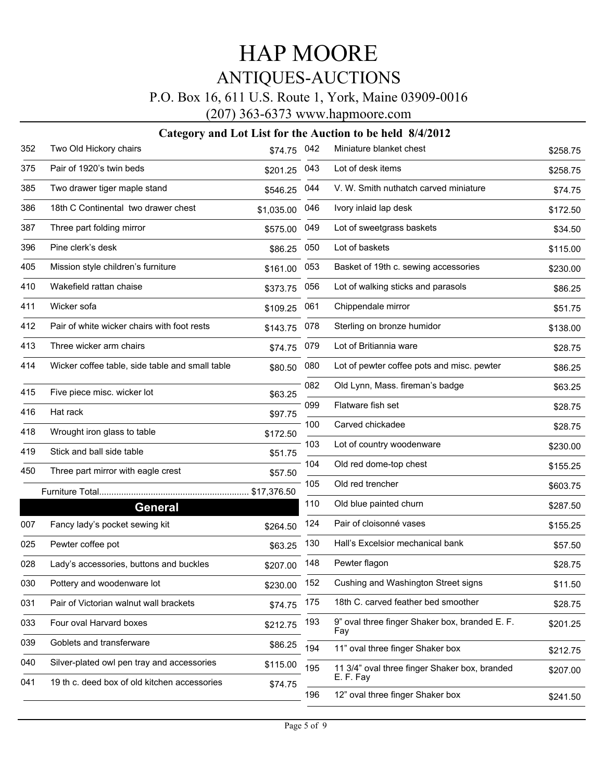### P.O. Box 16, 611 U.S. Route 1, York, Maine 03909-0016

(207) 363-6373 www.hapmoore.com

| 352 | Two Old Hickory chairs                          | \$74.75    | 042 | Miniature blanket chest                               | \$258.75 |
|-----|-------------------------------------------------|------------|-----|-------------------------------------------------------|----------|
| 375 | Pair of 1920's twin beds                        | \$201.25   | 043 | Lot of desk items                                     | \$258.75 |
| 385 | Two drawer tiger maple stand                    | \$546.25   | 044 | V. W. Smith nuthatch carved miniature                 | \$74.75  |
| 386 | 18th C Continental two drawer chest             | \$1,035.00 | 046 | Ivory inlaid lap desk                                 | \$172.50 |
| 387 | Three part folding mirror                       | \$575.00   | 049 | Lot of sweetgrass baskets                             | \$34.50  |
| 396 | Pine clerk's desk                               | \$86.25    | 050 | Lot of baskets                                        | \$115.00 |
| 405 | Mission style children's furniture              | \$161.00   | 053 | Basket of 19th c. sewing accessories                  | \$230.00 |
| 410 | Wakefield rattan chaise                         | \$373.75   | 056 | Lot of walking sticks and parasols                    | \$86.25  |
| 411 | Wicker sofa                                     | \$109.25   | 061 | Chippendale mirror                                    | \$51.75  |
| 412 | Pair of white wicker chairs with foot rests     | \$143.75   | 078 | Sterling on bronze humidor                            | \$138.00 |
| 413 | Three wicker arm chairs                         | \$74.75    | 079 | Lot of Britiannia ware                                | \$28.75  |
| 414 | Wicker coffee table, side table and small table | \$80.50    | 080 | Lot of pewter coffee pots and misc. pewter            | \$86.25  |
| 415 | Five piece misc. wicker lot                     | \$63.25    | 082 | Old Lynn, Mass. fireman's badge                       | \$63.25  |
| 416 | Hat rack                                        | \$97.75    | 099 | Flatware fish set                                     | \$28.75  |
| 418 | Wrought iron glass to table                     | \$172.50   | 100 | Carved chickadee                                      | \$28.75  |
| 419 | Stick and ball side table                       | \$51.75    | 103 | Lot of country woodenware                             | \$230.00 |
| 450 | Three part mirror with eagle crest              | \$57.50    | 104 | Old red dome-top chest                                | \$155.25 |
|     |                                                 |            | 105 | Old red trencher                                      | \$603.75 |
|     | General                                         |            | 110 | Old blue painted churn                                | \$287.50 |
| 007 | Fancy lady's pocket sewing kit                  | \$264.50   | 124 | Pair of cloisonné vases                               | \$155.25 |
| 025 | Pewter coffee pot                               | \$63.25    | 130 | Hall's Excelsior mechanical bank                      | \$57.50  |
| 028 | Lady's accessories, buttons and buckles         | \$207.00   | 148 | Pewter flagon                                         | \$28.75  |
| 030 | Pottery and woodenware lot                      | \$230.00   | 152 | Cushing and Washington Street signs                   | \$11.50  |
| 031 | Pair of Victorian walnut wall brackets          | \$74.75    | 175 | 18th C. carved feather bed smoother                   | \$28.75  |
| 033 | Four oval Harvard boxes                         | \$212.75   | 193 | 9" oval three finger Shaker box, branded E. F.<br>Fay | \$201.25 |
| 039 | Goblets and transferware                        | \$86.25    | 194 | 11" oval three finger Shaker box                      | \$212.75 |
| 040 | Silver-plated owl pen tray and accessories      | \$115.00   | 195 | 11 3/4" oval three finger Shaker box, branded         | \$207.00 |
| 041 | 19 th c. deed box of old kitchen accessories    | \$74.75    |     | E. F. Fay                                             |          |
|     |                                                 |            | 196 | 12" oval three finger Shaker box                      | \$241.50 |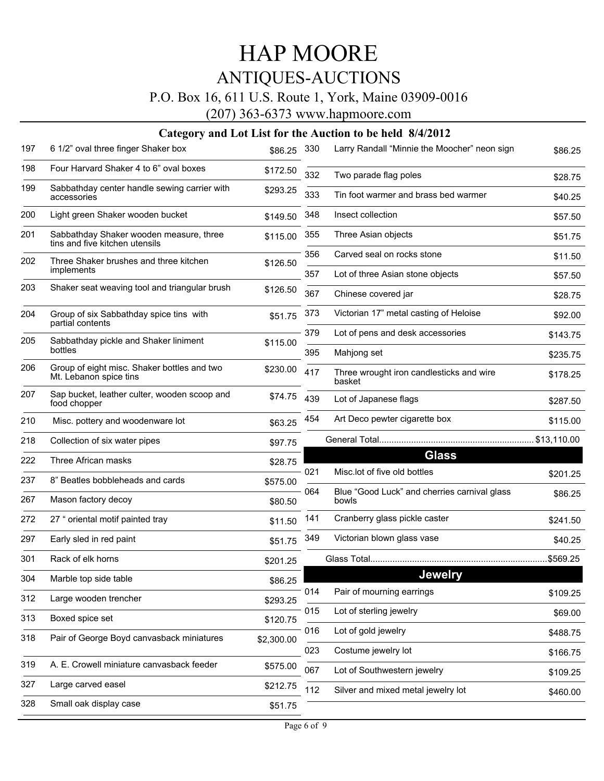### P.O. Box 16, 611 U.S. Route 1, York, Maine 03909-0016

(207) 363-6373 www.hapmoore.com

| 197 | 6 1/2" oval three finger Shaker box                                       | \$86.25    | 330 | Larry Randall "Minnie the Moocher" neon sign          | \$86.25     |
|-----|---------------------------------------------------------------------------|------------|-----|-------------------------------------------------------|-------------|
| 198 | Four Harvard Shaker 4 to 6" oval boxes                                    | \$172.50   | 332 | Two parade flag poles                                 | \$28.75     |
| 199 | Sabbathday center handle sewing carrier with<br>accessories               | \$293.25   | 333 | Tin foot warmer and brass bed warmer                  | \$40.25     |
| 200 | Light green Shaker wooden bucket                                          | \$149.50   | 348 | Insect collection                                     | \$57.50     |
| 201 | Sabbathday Shaker wooden measure, three<br>tins and five kitchen utensils | \$115.00   | 355 | Three Asian objects                                   | \$51.75     |
| 202 | Three Shaker brushes and three kitchen                                    | \$126.50   | 356 | Carved seal on rocks stone                            | \$11.50     |
|     | implements                                                                |            | 357 | Lot of three Asian stone objects                      | \$57.50     |
| 203 | Shaker seat weaving tool and triangular brush                             | \$126.50   | 367 | Chinese covered jar                                   | \$28.75     |
| 204 | Group of six Sabbathday spice tins with<br>partial contents               | \$51.75    | 373 | Victorian 17" metal casting of Heloise                | \$92.00     |
| 205 | Sabbathday pickle and Shaker liniment                                     | \$115.00   | 379 | Lot of pens and desk accessories                      | \$143.75    |
|     | bottles                                                                   |            | 395 | Mahjong set                                           | \$235.75    |
| 206 | Group of eight misc. Shaker bottles and two<br>Mt. Lebanon spice tins     | \$230.00   | 417 | Three wrought iron candlesticks and wire<br>basket    | \$178.25    |
| 207 | Sap bucket, leather culter, wooden scoop and<br>food chopper              | \$74.75    | 439 | Lot of Japanese flags                                 | \$287.50    |
| 210 | Misc. pottery and woodenware lot                                          | \$63.25    | 454 | Art Deco pewter cigarette box                         | \$115.00    |
| 218 | Collection of six water pipes                                             | \$97.75    |     |                                                       | \$13,110.00 |
| 222 | Three African masks                                                       | \$28.75    |     | <b>Glass</b>                                          |             |
| 237 | 8" Beatles bobbleheads and cards                                          | \$575.00   | 021 | Misc.lot of five old bottles                          | \$201.25    |
| 267 | Mason factory decoy                                                       | \$80.50    | 064 | Blue "Good Luck" and cherries carnival glass<br>bowls | \$86.25     |
| 272 | 27 " oriental motif painted tray                                          | \$11.50    | 141 | Cranberry glass pickle caster                         | \$241.50    |
| 297 | Early sled in red paint                                                   | \$51.75    | 349 | Victorian blown glass vase                            | \$40.25     |
| 301 | Rack of elk horns                                                         | \$201.25   |     |                                                       |             |
| 304 | Marble top side table                                                     | \$86.25    |     | <b>Jewelry</b>                                        |             |
| 312 | Large wooden trencher                                                     | \$293.25   | 014 | Pair of mourning earrings                             | \$109.25    |
| 313 | Boxed spice set                                                           | \$120.75   | 015 | Lot of sterling jewelry                               | \$69.00     |
| 318 | Pair of George Boyd canvasback miniatures                                 | \$2,300.00 | 016 | Lot of gold jewelry                                   | \$488.75    |
|     |                                                                           |            | 023 | Costume jewelry lot                                   | \$166.75    |
| 319 | A. E. Crowell miniature canvasback feeder                                 | \$575.00   | 067 | Lot of Southwestern jewelry                           | \$109.25    |
| 327 | Large carved easel                                                        | \$212.75   | 112 | Silver and mixed metal jewelry lot                    | \$460.00    |
| 328 | Small oak display case                                                    | \$51.75    |     |                                                       |             |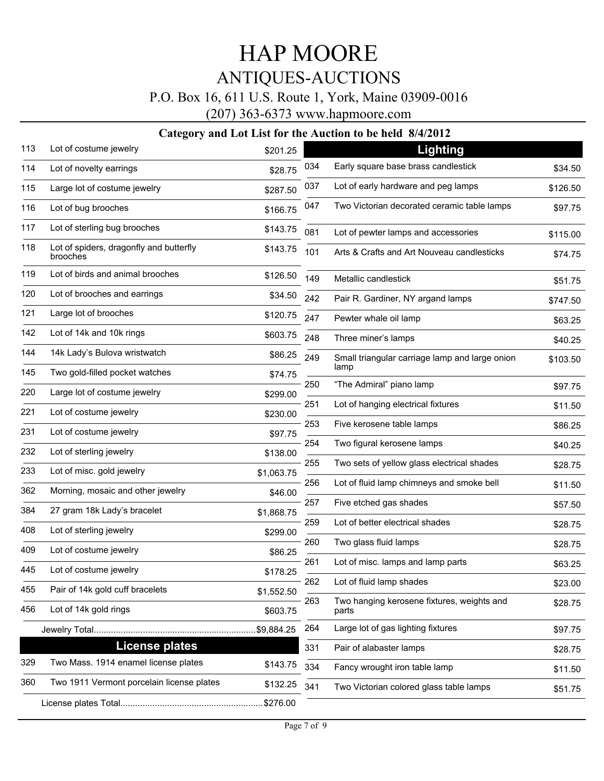### P.O. Box 16, 611 U.S. Route 1, York, Maine 03909-0016

(207) 363-6373 www.hapmoore.com

| 113 | Lot of costume jewelry                              | \$201.25   |     | Lighting                                            |          |
|-----|-----------------------------------------------------|------------|-----|-----------------------------------------------------|----------|
| 114 | Lot of novelty earrings                             | \$28.75    | 034 | Early square base brass candlestick                 | \$34.50  |
| 115 | Large lot of costume jewelry                        | \$287.50   | 037 | Lot of early hardware and peg lamps                 | \$126.50 |
| 116 | Lot of bug brooches                                 | \$166.75   | 047 | Two Victorian decorated ceramic table lamps         | \$97.75  |
| 117 | Lot of sterling bug brooches                        | \$143.75   | 081 | Lot of pewter lamps and accessories                 | \$115.00 |
| 118 | Lot of spiders, dragonfly and butterfly<br>brooches | \$143.75   | 101 | Arts & Crafts and Art Nouveau candlesticks          | \$74.75  |
| 119 | Lot of birds and animal brooches                    | \$126.50   | 149 | Metallic candlestick                                | \$51.75  |
| 120 | Lot of brooches and earrings                        | \$34.50    | 242 | Pair R. Gardiner, NY argand lamps                   | \$747.50 |
| 121 | Large lot of brooches                               | \$120.75   | 247 | Pewter whale oil lamp                               | \$63.25  |
| 142 | Lot of 14k and 10k rings                            | \$603.75   | 248 | Three miner's lamps                                 | \$40.25  |
| 144 | 14k Lady's Bulova wristwatch                        | \$86.25    | 249 | Small triangular carriage lamp and large onion      | \$103.50 |
| 145 | Two gold-filled pocket watches                      | \$74.75    |     | lamp                                                |          |
| 220 | Large lot of costume jewelry                        | \$299.00   | 250 | "The Admiral" piano lamp                            | \$97.75  |
| 221 | Lot of costume jewelry                              | \$230.00   | 251 | Lot of hanging electrical fixtures                  | \$11.50  |
| 231 | Lot of costume jewelry                              | \$97.75    | 253 | Five kerosene table lamps                           | \$86.25  |
| 232 | Lot of sterling jewelry                             | \$138.00   | 254 | Two figural kerosene lamps                          | \$40.25  |
| 233 | Lot of misc. gold jewelry                           | \$1,063.75 | 255 | Two sets of yellow glass electrical shades          | \$28.75  |
| 362 | Morning, mosaic and other jewelry                   |            | 256 | Lot of fluid lamp chimneys and smoke bell           | \$11.50  |
| 384 | 27 gram 18k Lady's bracelet                         | \$46.00    | 257 | Five etched gas shades                              | \$57.50  |
| 408 | Lot of sterling jewelry                             | \$1,868.75 | 259 | Lot of better electrical shades                     | \$28.75  |
|     |                                                     | \$299.00   | 260 | Two glass fluid lamps                               | \$28.75  |
| 409 | Lot of costume jewelry                              | \$86.25    | 261 | Lot of misc. lamps and lamp parts                   | \$63.25  |
| 445 | Lot of costume jewelry                              | \$178.25   | 262 | Lot of fluid lamp shades                            |          |
| 455 | Pair of 14k gold cuff bracelets                     | \$1,552.50 |     |                                                     | \$23.00  |
| 456 | Lot of 14k gold rings                               | \$603.75   | 263 | Two hanging kerosene fixtures, weights and<br>parts | \$28.75  |
|     |                                                     |            | 264 | Large lot of gas lighting fixtures                  | \$97.75  |
|     | <b>License plates</b>                               |            | 331 | Pair of alabaster lamps                             | \$28.75  |
| 329 | Two Mass. 1914 enamel license plates                | \$143.75   | 334 | Fancy wrought iron table lamp                       | \$11.50  |
| 360 | Two 1911 Vermont porcelain license plates           | \$132.25   | 341 | Two Victorian colored glass table lamps             | \$51.75  |
|     |                                                     |            |     |                                                     |          |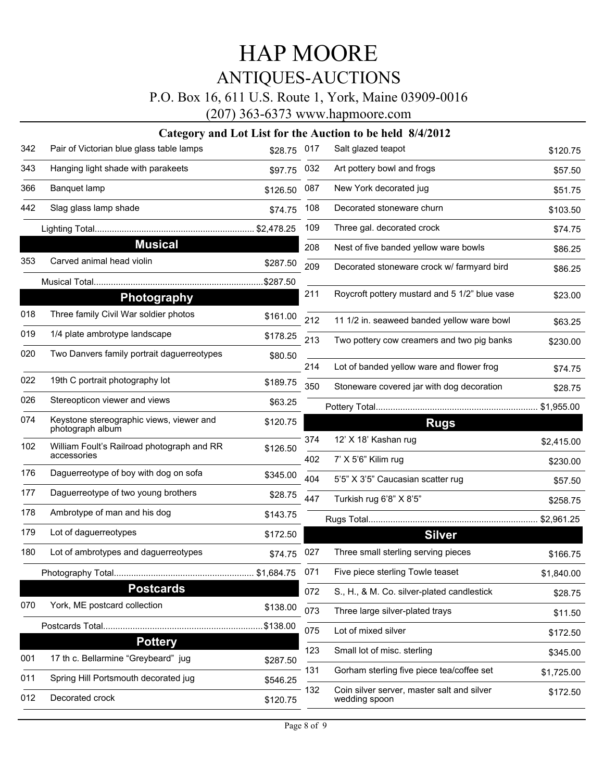### P.O. Box 16, 611 U.S. Route 1, York, Maine 03909-0016

(207) 363-6373 www.hapmoore.com

| 342 | Pair of Victorian blue glass table lamps                     | \$28.75   | 017 | Salt glazed teapot                                          | \$120.75   |
|-----|--------------------------------------------------------------|-----------|-----|-------------------------------------------------------------|------------|
| 343 | Hanging light shade with parakeets                           | \$97.75   | 032 | Art pottery bowl and frogs                                  | \$57.50    |
| 366 | Banquet lamp                                                 | \$126.50  | 087 | New York decorated jug                                      | \$51.75    |
| 442 | Slag glass lamp shade                                        | \$74.75   | 108 | Decorated stoneware churn                                   | \$103.50   |
|     |                                                              |           | 109 | Three gal. decorated crock                                  | \$74.75    |
|     | <b>Musical</b>                                               |           | 208 | Nest of five banded yellow ware bowls                       | \$86.25    |
| 353 | Carved animal head violin                                    | \$287.50  | 209 | Decorated stoneware crock w/ farmyard bird                  | \$86.25    |
|     |                                                              | \$287.50. |     |                                                             |            |
|     | <b>Photography</b>                                           |           | 211 | Roycroft pottery mustard and 5 1/2" blue vase               | \$23.00    |
| 018 | Three family Civil War soldier photos                        | \$161.00  | 212 | 11 1/2 in. seaweed banded yellow ware bowl                  | \$63.25    |
| 019 | 1/4 plate ambrotype landscape                                | \$178.25  | 213 | Two pottery cow creamers and two pig banks                  | \$230.00   |
| 020 | Two Danvers family portrait daguerreotypes                   | \$80.50   |     |                                                             |            |
|     |                                                              |           | 214 | Lot of banded yellow ware and flower frog                   | \$74.75    |
| 022 | 19th C portrait photography lot                              | \$189.75  | 350 | Stoneware covered jar with dog decoration                   | \$28.75    |
| 026 | Stereopticon viewer and views                                | \$63.25   |     |                                                             |            |
| 074 | Keystone stereographic views, viewer and<br>photograph album | \$120.75  |     | <b>Rugs</b>                                                 |            |
| 102 | William Foult's Railroad photograph and RR                   | \$126.50  | 374 | 12' X 18' Kashan rug                                        | \$2,415.00 |
|     | accessories                                                  |           | 402 | 7' X 5'6" Kilim rug                                         | \$230.00   |
| 176 | Daguerreotype of boy with dog on sofa                        | \$345.00  | 404 | 5'5" X 3'5" Caucasian scatter rug                           | \$57.50    |
| 177 | Daguerreotype of two young brothers                          | \$28.75   | 447 | Turkish rug 6'8" X 8'5"                                     | \$258.75   |
| 178 | Ambrotype of man and his dog                                 | \$143.75  |     |                                                             |            |
| 179 | Lot of daguerreotypes                                        | \$172.50  |     | <b>Silver</b>                                               |            |
| 180 | Lot of ambrotypes and daguerreotypes                         | \$74.75   | 027 | Three small sterling serving pieces                         | \$166.75   |
|     |                                                              |           | 071 | Five piece sterling Towle teaset                            | \$1,840.00 |
|     | <b>Postcards</b>                                             |           | 072 | S., H., & M. Co. silver-plated candlestick                  | \$28.75    |
| 070 | York, ME postcard collection                                 | \$138.00  | 073 | Three large silver-plated trays                             | \$11.50    |
|     |                                                              | \$138.00  | 075 | Lot of mixed silver                                         | \$172.50   |
|     | <b>Pottery</b>                                               |           | 123 | Small lot of misc. sterling                                 |            |
| 001 | 17 th c. Bellarmine "Greybeard" jug                          | \$287.50  | 131 |                                                             | \$345.00   |
| 011 | Spring Hill Portsmouth decorated jug                         | \$546.25  |     | Gorham sterling five piece tea/coffee set                   | \$1,725.00 |
| 012 | Decorated crock                                              | \$120.75  | 132 | Coin silver server, master salt and silver<br>wedding spoon | \$172.50   |
|     |                                                              |           |     |                                                             |            |